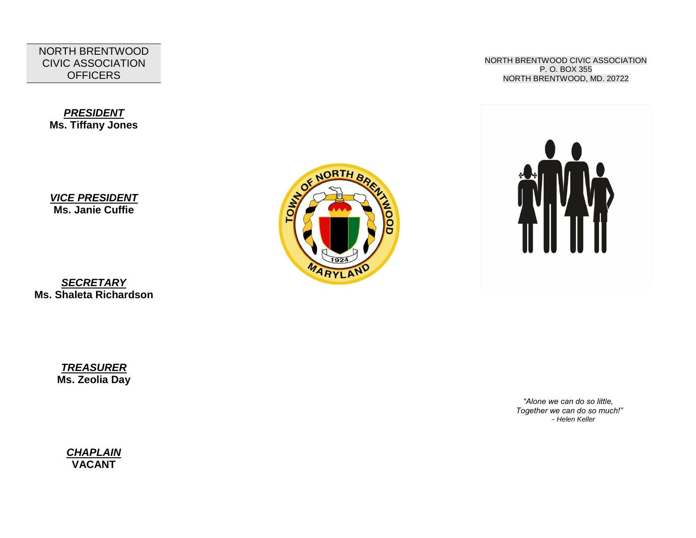NORTH BRENTWOOD CIVIC ASSOCIATION **OFFICERS** 

*PRESIDENT* **Ms. Tiffany Jones**

*VICE PRESIDENT* **Ms. Janie Cuffie**

*SECRETARY* **Ms. Shaleta Richardson** BORTH BR

NORTH BRENTWOOD CIVIC ASSOCIATION P. O. BOX 355 NORTH BRENTWOOD, MD. 20722



*TREASURER* **Ms. Zeolia Day**

> *"Alone we can do so little, Together we can do so much!" - Helen Keller*

*CHAPLAIN* **VACANT**